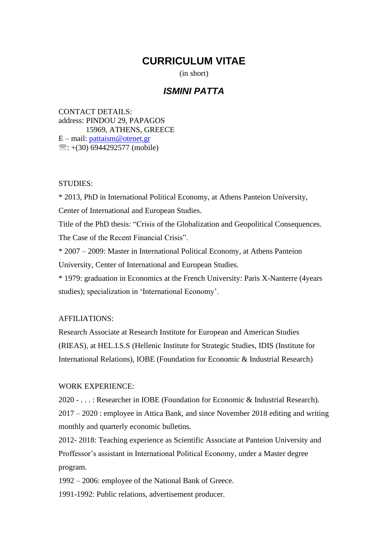# **CURRICULUM VITAE**

(in short)

## *ISMINI PATTA*

CONTACT DETAILS: address: PINDOU 29, PAPAGOS 15969, ATHENS, GREECE E – mail: [pattaism@otenet.gr](mailto:pattaism@otenet.gr)   $\mathcal{E}: +$ (30) 6944292577 (mobile)

#### STUDIES:

\* 2013, PhD in International Political Economy, at Athens Panteion University, Center of International and European Studies. Title of the PhD thesis: "Crisis of the Globalization and Geopolitical Consequences. The Case of the Recent Financial Crisis". \* 2007 – 2009: Master in International Political Economy, at Athens Panteion University, Center of International and European Studies. \* 1979: graduation in Economics at the French University: Paris X-Nanterre (4years studies); specialization in 'International Economy'.

### AFFILIATIONS:

Research Associate at Research Institute for European and American Studies (RIEAS), at HEL.I.S.S (Hellenic Institute for Strategic Studies, IDIS (Institute for International Relations), IOBE (Foundation for Economic & Industrial Research)

#### WORK EXPERIENCE:

2020 - . . . : Researcher in IOBE (Foundation for Economic & Industrial Research). 2017 – 2020 : employee in Attica Bank, and since November 2018 editing and writing monthly and quarterly economic bulletins.

2012- 2018: Teaching experience as Scientific Associate at Panteion University and Proffessor's assistant in International Political Economy, under a Master degree program.

1992 – 2006: employee of the National Bank of Greece.

1991-1992: Public relations, advertisement producer.